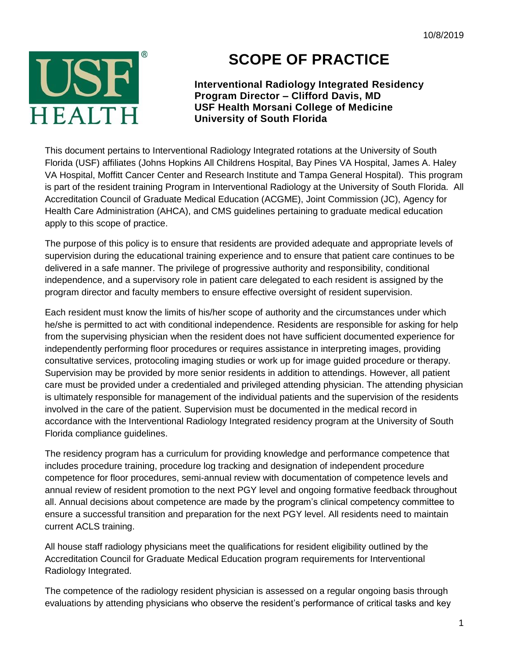

## **SCOPE OF PRACTICE**

**Interventional Radiology Integrated Residency Program Director – Clifford Davis, MD USF Health Morsani College of Medicine University of South Florida**

This document pertains to Interventional Radiology Integrated rotations at the University of South Florida (USF) affiliates (Johns Hopkins All Childrens Hospital, Bay Pines VA Hospital, James A. Haley VA Hospital, Moffitt Cancer Center and Research Institute and Tampa General Hospital). This program is part of the resident training Program in Interventional Radiology at the University of South Florida. All Accreditation Council of Graduate Medical Education (ACGME), Joint Commission (JC), Agency for Health Care Administration (AHCA), and CMS guidelines pertaining to graduate medical education apply to this scope of practice.

The purpose of this policy is to ensure that residents are provided adequate and appropriate levels of supervision during the educational training experience and to ensure that patient care continues to be delivered in a safe manner. The privilege of progressive authority and responsibility, conditional independence, and a supervisory role in patient care delegated to each resident is assigned by the program director and faculty members to ensure effective oversight of resident supervision.

Each resident must know the limits of his/her scope of authority and the circumstances under which he/she is permitted to act with conditional independence. Residents are responsible for asking for help from the supervising physician when the resident does not have sufficient documented experience for independently performing floor procedures or requires assistance in interpreting images, providing consultative services, protocoling imaging studies or work up for image guided procedure or therapy. Supervision may be provided by more senior residents in addition to attendings. However, all patient care must be provided under a credentialed and privileged attending physician. The attending physician is ultimately responsible for management of the individual patients and the supervision of the residents involved in the care of the patient. Supervision must be documented in the medical record in accordance with the Interventional Radiology Integrated residency program at the University of South Florida compliance guidelines.

The residency program has a curriculum for providing knowledge and performance competence that includes procedure training, procedure log tracking and designation of independent procedure competence for floor procedures, semi-annual review with documentation of competence levels and annual review of resident promotion to the next PGY level and ongoing formative feedback throughout all. Annual decisions about competence are made by the program's clinical competency committee to ensure a successful transition and preparation for the next PGY level. All residents need to maintain current ACLS training.

All house staff radiology physicians meet the qualifications for resident eligibility outlined by the Accreditation Council for Graduate Medical Education program requirements for Interventional Radiology Integrated.

The competence of the radiology resident physician is assessed on a regular ongoing basis through evaluations by attending physicians who observe the resident's performance of critical tasks and key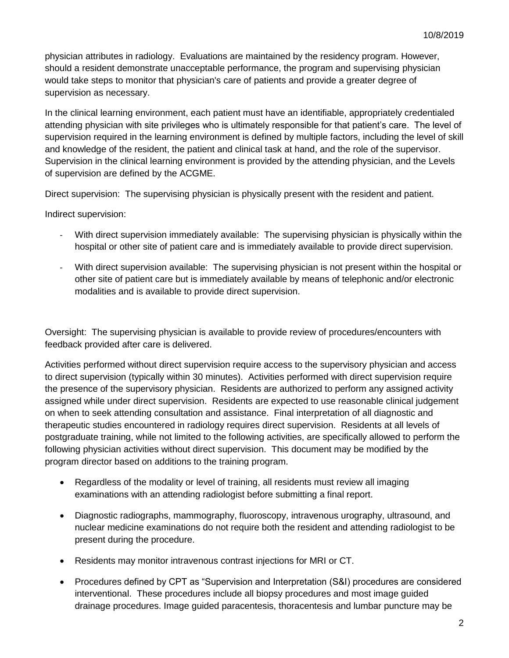physician attributes in radiology. Evaluations are maintained by the residency program. However, should a resident demonstrate unacceptable performance, the program and supervising physician would take steps to monitor that physician's care of patients and provide a greater degree of supervision as necessary.

In the clinical learning environment, each patient must have an identifiable, appropriately credentialed attending physician with site privileges who is ultimately responsible for that patient's care. The level of supervision required in the learning environment is defined by multiple factors, including the level of skill and knowledge of the resident, the patient and clinical task at hand, and the role of the supervisor. Supervision in the clinical learning environment is provided by the attending physician, and the Levels of supervision are defined by the ACGME.

Direct supervision: The supervising physician is physically present with the resident and patient.

Indirect supervision:

- With direct supervision immediately available: The supervising physician is physically within the hospital or other site of patient care and is immediately available to provide direct supervision.
- With direct supervision available: The supervising physician is not present within the hospital or other site of patient care but is immediately available by means of telephonic and/or electronic modalities and is available to provide direct supervision.

Oversight: The supervising physician is available to provide review of procedures/encounters with feedback provided after care is delivered.

Activities performed without direct supervision require access to the supervisory physician and access to direct supervision (typically within 30 minutes). Activities performed with direct supervision require the presence of the supervisory physician. Residents are authorized to perform any assigned activity assigned while under direct supervision. Residents are expected to use reasonable clinical judgement on when to seek attending consultation and assistance. Final interpretation of all diagnostic and therapeutic studies encountered in radiology requires direct supervision. Residents at all levels of postgraduate training, while not limited to the following activities, are specifically allowed to perform the following physician activities without direct supervision. This document may be modified by the program director based on additions to the training program.

- Regardless of the modality or level of training, all residents must review all imaging examinations with an attending radiologist before submitting a final report.
- Diagnostic radiographs, mammography, fluoroscopy, intravenous urography, ultrasound, and nuclear medicine examinations do not require both the resident and attending radiologist to be present during the procedure.
- Residents may monitor intravenous contrast injections for MRI or CT.
- Procedures defined by CPT as "Supervision and Interpretation (S&I) procedures are considered interventional. These procedures include all biopsy procedures and most image guided drainage procedures. Image guided paracentesis, thoracentesis and lumbar puncture may be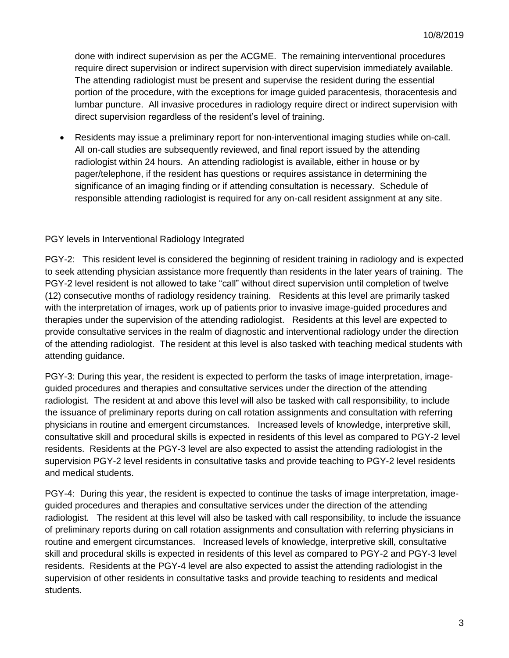done with indirect supervision as per the ACGME. The remaining interventional procedures require direct supervision or indirect supervision with direct supervision immediately available. The attending radiologist must be present and supervise the resident during the essential portion of the procedure, with the exceptions for image guided paracentesis, thoracentesis and lumbar puncture. All invasive procedures in radiology require direct or indirect supervision with direct supervision regardless of the resident's level of training.

 Residents may issue a preliminary report for non-interventional imaging studies while on-call. All on-call studies are subsequently reviewed, and final report issued by the attending radiologist within 24 hours. An attending radiologist is available, either in house or by pager/telephone, if the resident has questions or requires assistance in determining the significance of an imaging finding or if attending consultation is necessary. Schedule of responsible attending radiologist is required for any on-call resident assignment at any site.

## PGY levels in Interventional Radiology Integrated

PGY-2: This resident level is considered the beginning of resident training in radiology and is expected to seek attending physician assistance more frequently than residents in the later years of training. The PGY-2 level resident is not allowed to take "call" without direct supervision until completion of twelve (12) consecutive months of radiology residency training. Residents at this level are primarily tasked with the interpretation of images, work up of patients prior to invasive image-guided procedures and therapies under the supervision of the attending radiologist. Residents at this level are expected to provide consultative services in the realm of diagnostic and interventional radiology under the direction of the attending radiologist. The resident at this level is also tasked with teaching medical students with attending guidance.

PGY-3: During this year, the resident is expected to perform the tasks of image interpretation, imageguided procedures and therapies and consultative services under the direction of the attending radiologist. The resident at and above this level will also be tasked with call responsibility, to include the issuance of preliminary reports during on call rotation assignments and consultation with referring physicians in routine and emergent circumstances. Increased levels of knowledge, interpretive skill, consultative skill and procedural skills is expected in residents of this level as compared to PGY-2 level residents. Residents at the PGY-3 level are also expected to assist the attending radiologist in the supervision PGY-2 level residents in consultative tasks and provide teaching to PGY-2 level residents and medical students.

PGY-4: During this year, the resident is expected to continue the tasks of image interpretation, imageguided procedures and therapies and consultative services under the direction of the attending radiologist. The resident at this level will also be tasked with call responsibility, to include the issuance of preliminary reports during on call rotation assignments and consultation with referring physicians in routine and emergent circumstances. Increased levels of knowledge, interpretive skill, consultative skill and procedural skills is expected in residents of this level as compared to PGY-2 and PGY-3 level residents. Residents at the PGY-4 level are also expected to assist the attending radiologist in the supervision of other residents in consultative tasks and provide teaching to residents and medical students.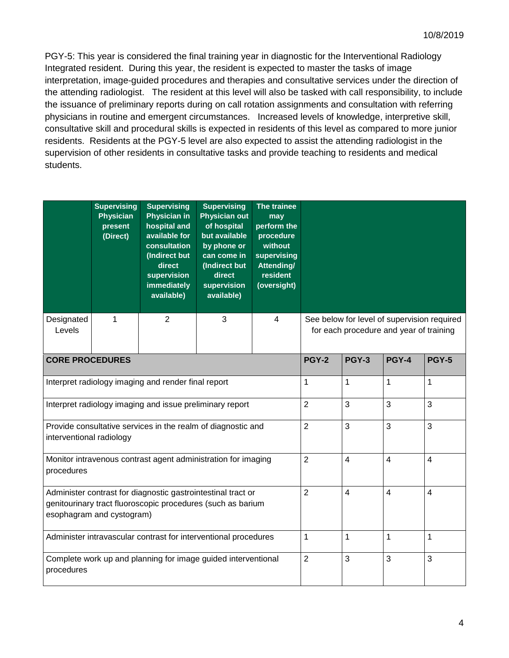PGY-5: This year is considered the final training year in diagnostic for the Interventional Radiology Integrated resident. During this year, the resident is expected to master the tasks of image interpretation, image-guided procedures and therapies and consultative services under the direction of the attending radiologist. The resident at this level will also be tasked with call responsibility, to include the issuance of preliminary reports during on call rotation assignments and consultation with referring physicians in routine and emergent circumstances. Increased levels of knowledge, interpretive skill, consultative skill and procedural skills is expected in residents of this level as compared to more junior residents. Residents at the PGY-5 level are also expected to assist the attending radiologist in the supervision of other residents in consultative tasks and provide teaching to residents and medical students.

|                                                                                                                                                          | <b>Supervising</b><br>Physician<br>present<br>(Direct) | <b>Supervising</b><br><b>Physician in</b><br>hospital and<br>available for<br>consultation<br>(Indirect but<br>direct<br>supervision<br>immediately<br>available) | <b>Supervising</b><br><b>Physician out</b><br>of hospital<br>but available<br>by phone or<br>can come in<br>(Indirect but<br>direct<br>supervision<br>available) | The trainee<br>may<br>perform the<br>procedure<br>without<br>supervising<br>Attending/<br>resident<br>(oversight) |                                                                                        |                |                         |                         |  |  |
|----------------------------------------------------------------------------------------------------------------------------------------------------------|--------------------------------------------------------|-------------------------------------------------------------------------------------------------------------------------------------------------------------------|------------------------------------------------------------------------------------------------------------------------------------------------------------------|-------------------------------------------------------------------------------------------------------------------|----------------------------------------------------------------------------------------|----------------|-------------------------|-------------------------|--|--|
| Designated<br>Levels                                                                                                                                     | 1                                                      | $\overline{2}$                                                                                                                                                    | 3                                                                                                                                                                | $\overline{4}$                                                                                                    | See below for level of supervision required<br>for each procedure and year of training |                |                         |                         |  |  |
| <b>CORE PROCEDURES</b>                                                                                                                                   |                                                        |                                                                                                                                                                   |                                                                                                                                                                  |                                                                                                                   |                                                                                        | <b>PGY-3</b>   | <b>PGY-4</b>            | <b>PGY-5</b>            |  |  |
| Interpret radiology imaging and render final report                                                                                                      |                                                        |                                                                                                                                                                   |                                                                                                                                                                  |                                                                                                                   |                                                                                        | $\mathbf 1$    | 1                       | $\mathbf{1}$            |  |  |
| Interpret radiology imaging and issue preliminary report                                                                                                 |                                                        |                                                                                                                                                                   |                                                                                                                                                                  |                                                                                                                   |                                                                                        | 3              | 3                       | 3                       |  |  |
| Provide consultative services in the realm of diagnostic and<br>interventional radiology                                                                 |                                                        |                                                                                                                                                                   |                                                                                                                                                                  |                                                                                                                   |                                                                                        | 3              | 3                       | 3                       |  |  |
| Monitor intravenous contrast agent administration for imaging<br>procedures                                                                              |                                                        |                                                                                                                                                                   |                                                                                                                                                                  |                                                                                                                   |                                                                                        | 4              | $\overline{\mathbf{4}}$ | $\overline{4}$          |  |  |
| Administer contrast for diagnostic gastrointestinal tract or<br>genitourinary tract fluoroscopic procedures (such as barium<br>esophagram and cystogram) |                                                        |                                                                                                                                                                   |                                                                                                                                                                  |                                                                                                                   |                                                                                        | $\overline{4}$ | $\overline{4}$          | $\overline{\mathbf{4}}$ |  |  |
| Administer intravascular contrast for interventional procedures                                                                                          |                                                        |                                                                                                                                                                   |                                                                                                                                                                  |                                                                                                                   |                                                                                        | $\mathbf{1}$   | 1                       | $\mathbf{1}$            |  |  |
| Complete work up and planning for image guided interventional<br>procedures                                                                              |                                                        |                                                                                                                                                                   |                                                                                                                                                                  |                                                                                                                   |                                                                                        | 3              | 3                       | 3                       |  |  |